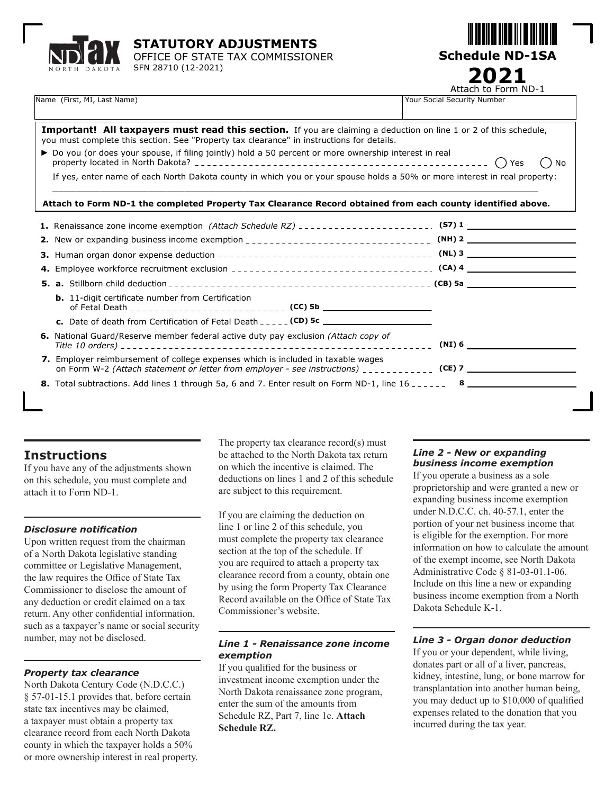



| Name (First, MI, Last Name) |  |  |
|-----------------------------|--|--|

Name (First, Ministerset and Tauranteen Security Number 2014) Your Social Security Number Attach to Form ND-1 **2021**

| Important! All taxpayers must read this section. If you are claiming a deduction on line 1 or 2 of this schedule,<br>you must complete this section. See "Property tax clearance" in instructions for details. |                     |
|----------------------------------------------------------------------------------------------------------------------------------------------------------------------------------------------------------------|---------------------|
| ▶ Do you (or does your spouse, if filing jointly) hold a 50 percent or more ownership interest in real                                                                                                         | Yes<br>(<br>No<br>( |
| If yes, enter name of each North Dakota county in which you or your spouse holds a 50% or more interest in real property:                                                                                      |                     |
| Attach to Form ND-1 the completed Property Tax Clearance Record obtained from each county identified above.                                                                                                    |                     |
| 1. Renaissance zone income exemption (Attach Schedule RZ) _______________________. (S7) 1 ____________________________                                                                                         |                     |
|                                                                                                                                                                                                                |                     |
|                                                                                                                                                                                                                |                     |
|                                                                                                                                                                                                                |                     |
|                                                                                                                                                                                                                |                     |
| <b>b.</b> 11-digit certificate number from Certification                                                                                                                                                       |                     |
|                                                                                                                                                                                                                |                     |
| 6. National Guard/Reserve member federal active duty pay exclusion (Attach copy of                                                                                                                             | (NI) 6              |
| 7. Employer reimbursement of college expenses which is included in taxable wages<br>on Form W-2 (Attach statement or letter from employer - see instructions) ____________ (CE) 7 ____________                 |                     |
| 8. Total subtractions. Add lines 1 through 5a, 6 and 7. Enter result on Form ND-1, line $16$                                                                                                                   |                     |
|                                                                                                                                                                                                                |                     |

# **Instructions**

If you have any of the adjustments shown on this schedule, you must complete and attach it to Form ND-1.

#### *Disclosure notification*

Upon written request from the chairman of a North Dakota legislative standing committee or Legislative Management, the law requires the Office of State Tax Commissioner to disclose the amount of any deduction or credit claimed on a tax return. Any other confidential information, such as a taxpayer's name or social security number, may not be disclosed.

# *Property tax clearance*

North Dakota Century Code (N.D.C.C.) § 57-01-15.1 provides that, before certain state tax incentives may be claimed, a taxpayer must obtain a property tax clearance record from each North Dakota county in which the taxpayer holds a 50% or more ownership interest in real property.

The property tax clearance record(s) must be attached to the North Dakota tax return on which the incentive is claimed. The deductions on lines 1 and 2 of this schedule are subject to this requirement.

If you are claiming the deduction on line 1 or line 2 of this schedule, you must complete the property tax clearance section at the top of the schedule. If you are required to attach a property tax clearance record from a county, obtain one by using the form Property Tax Clearance Record available on the Office of State Tax Commissioner's website.

### *Line 1 - Renaissance zone income exemption*

If you qualified for the business or investment income exemption under the North Dakota renaissance zone program, enter the sum of the amounts from Schedule RZ, Part 7, line 1c. **Attach Schedule RZ.**

# *Line 2 - New or expanding business income exemption*

If you operate a business as a sole proprietorship and were granted a new or expanding business income exemption under N.D.C.C. ch. 40-57.1, enter the portion of your net business income that is eligible for the exemption. For more information on how to calculate the amount of the exempt income, see North Dakota Administrative Code § 81-03-01.1-06. Include on this line a new or expanding business income exemption from a North Dakota Schedule K-1.

# *Line 3 - Organ donor deduction*

If you or your dependent, while living, donates part or all of a liver, pancreas, kidney, intestine, lung, or bone marrow for transplantation into another human being, you may deduct up to \$10,000 of qualified expenses related to the donation that you incurred during the tax year.